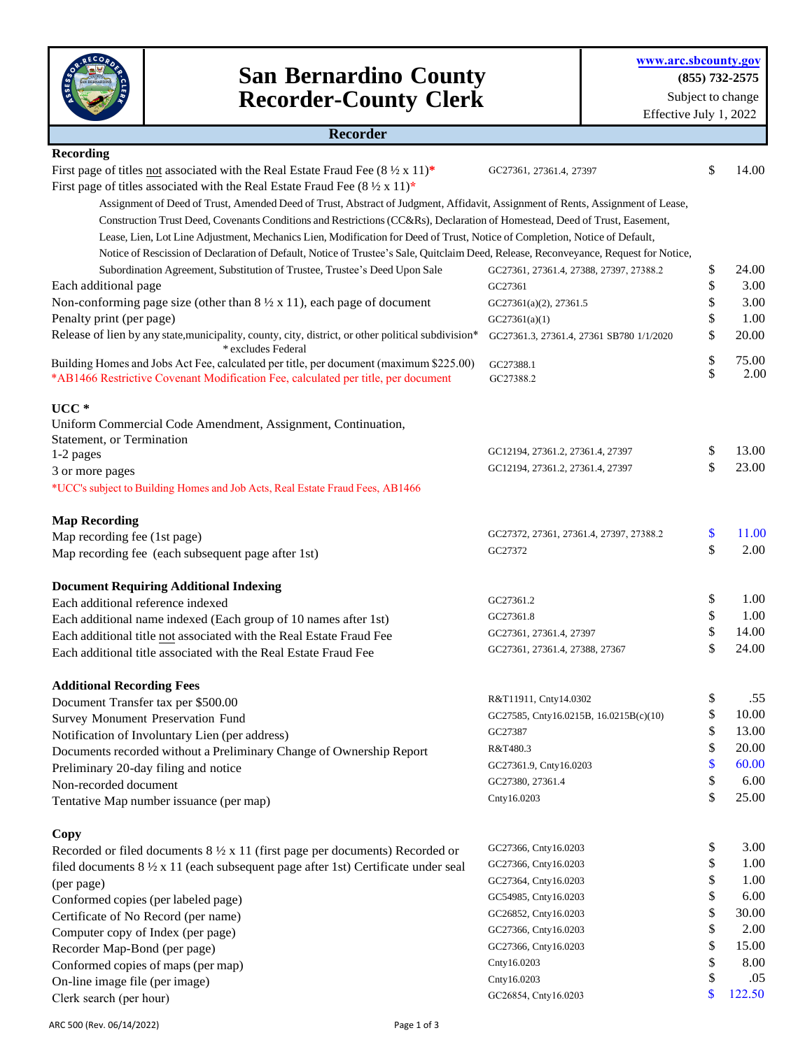

## **San Bernardino County Recorder-County Clerk**

| \$<br>14.00<br>GC27361, 27361.4, 27397<br>Assignment of Deed of Trust, Amended Deed of Trust, Abstract of Judgment, Affidavit, Assignment of Rents, Assignment of Lease,<br>Construction Trust Deed, Covenants Conditions and Restrictions (CC&Rs), Declaration of Homestead, Deed of Trust, Easement,<br>Lease, Lien, Lot Line Adjustment, Mechanics Lien, Modification for Deed of Trust, Notice of Completion, Notice of Default,<br>Notice of Rescission of Declaration of Default, Notice of Trustee's Sale, Quitclaim Deed, Release, Reconveyance, Request for Notice,<br>\$<br>Subordination Agreement, Substitution of Trustee, Trustee's Deed Upon Sale<br>24.00<br>GC27361, 27361.4, 27388, 27397, 27388.2<br>\$<br>3.00<br>GC27361<br>\$<br>3.00<br>GC27361(a)(2), 27361.5<br>\$<br>Penalty print (per page)<br>1.00<br>GC27361(a)(1)<br>Release of lien by any state, municipality, county, city, district, or other political subdivision*<br>\$<br>20.00<br>GC27361.3, 27361.4, 27361 SB780 1/1/2020<br>* excludes Federal<br>\$<br>75.00<br>GC27388.1<br>\$<br>GC27388.2<br>Uniform Commercial Code Amendment, Assignment, Continuation,<br>Statement, or Termination<br>\$<br>GC12194, 27361.2, 27361.4, 27397<br>1-2 pages<br>\$<br>GC12194, 27361.2, 27361.4, 27397<br>3 or more pages<br>*UCC's subject to Building Homes and Job Acts, Real Estate Fraud Fees, AB1466<br>\$<br>GC27372, 27361, 27361.4, 27397, 27388.2<br>Map recording fee (1st page)<br>\$<br>2.00<br>GC27372<br>Map recording fee (each subsequent page after 1st)<br>\$<br>1.00<br>GC27361.2<br>Each additional reference indexed<br>\$<br>1.00<br>GC27361.8<br>Each additional name indexed (Each group of 10 names after 1st)<br>\$<br>14.00<br>GC27361, 27361.4, 27397<br>Each additional title not associated with the Real Estate Fraud Fee<br>\$<br>24.00<br>GC27361, 27361.4, 27388, 27367<br>Each additional title associated with the Real Estate Fraud Fee<br>.55<br>\$<br>R&T11911, Cnty14.0302<br>Document Transfer tax per \$500.00<br>\$<br>10.00<br>GC27585, Cnty16.0215B, 16.0215B(c)(10)<br>Survey Monument Preservation Fund<br>\$<br>13.00<br>GC27387<br>Notification of Involuntary Lien (per address)<br>\$<br>20.00<br>R&T480.3<br>Documents recorded without a Preliminary Change of Ownership Report<br>\$<br>60.00<br>GC27361.9, Cnty16.0203<br>Preliminary 20-day filing and notice<br>\$<br>6.00<br>GC27380, 27361.4<br>Non-recorded document<br>\$<br>25.00<br>Cnty16.0203<br>Tentative Map number issuance (per map)<br>\$<br>3.00<br>GC27366, Cnty16.0203<br>Recorded or filed documents $8\frac{1}{2} \times 11$ (first page per documents) Recorded or<br>\$<br>GC27366, Cnty16.0203<br>filed documents 8 1/2 x 11 (each subsequent page after 1st) Certificate under seal<br>\$<br>1.00<br>GC27364, Cnty16.0203<br>(per page)<br>\$<br>6.00<br>GC54985, Cnty16.0203<br>Conformed copies (per labeled page)<br>\$<br>GC26852, Cnty16.0203<br>Certificate of No Record (per name)<br>\$<br>2.00<br>GC27366, Cnty16.0203<br>Computer copy of Index (per page)<br>GC27366, Cnty16.0203<br>\$<br>15.00<br>Recorder Map-Bond (per page) | <b>Recorder</b>                                                                                  |  |  |
|------------------------------------------------------------------------------------------------------------------------------------------------------------------------------------------------------------------------------------------------------------------------------------------------------------------------------------------------------------------------------------------------------------------------------------------------------------------------------------------------------------------------------------------------------------------------------------------------------------------------------------------------------------------------------------------------------------------------------------------------------------------------------------------------------------------------------------------------------------------------------------------------------------------------------------------------------------------------------------------------------------------------------------------------------------------------------------------------------------------------------------------------------------------------------------------------------------------------------------------------------------------------------------------------------------------------------------------------------------------------------------------------------------------------------------------------------------------------------------------------------------------------------------------------------------------------------------------------------------------------------------------------------------------------------------------------------------------------------------------------------------------------------------------------------------------------------------------------------------------------------------------------------------------------------------------------------------------------------------------------------------------------------------------------------------------------------------------------------------------------------------------------------------------------------------------------------------------------------------------------------------------------------------------------------------------------------------------------------------------------------------------------------------------------------------------------------------------------------------------------------------------------------------------------------------------------------------------------------------------------------------------------------------------------------------------------------------------------------------------------------------------------------------------------------------------------------------------------------------------------------------------------------------------------------------------------------------------------------------------------------------------------------------------------------------------------------------------------------------------------------------------------------------|--------------------------------------------------------------------------------------------------|--|--|
| 2.00                                                                                                                                                                                                                                                                                                                                                                                                                                                                                                                                                                                                                                                                                                                                                                                                                                                                                                                                                                                                                                                                                                                                                                                                                                                                                                                                                                                                                                                                                                                                                                                                                                                                                                                                                                                                                                                                                                                                                                                                                                                                                                                                                                                                                                                                                                                                                                                                                                                                                                                                                                                                                                                                                                                                                                                                                                                                                                                                                                                                                                                                                                                                                       | <b>Recording</b>                                                                                 |  |  |
|                                                                                                                                                                                                                                                                                                                                                                                                                                                                                                                                                                                                                                                                                                                                                                                                                                                                                                                                                                                                                                                                                                                                                                                                                                                                                                                                                                                                                                                                                                                                                                                                                                                                                                                                                                                                                                                                                                                                                                                                                                                                                                                                                                                                                                                                                                                                                                                                                                                                                                                                                                                                                                                                                                                                                                                                                                                                                                                                                                                                                                                                                                                                                            | First page of titles not associated with the Real Estate Fraud Fee $(8 \frac{1}{2} \times 11)^*$ |  |  |
|                                                                                                                                                                                                                                                                                                                                                                                                                                                                                                                                                                                                                                                                                                                                                                                                                                                                                                                                                                                                                                                                                                                                                                                                                                                                                                                                                                                                                                                                                                                                                                                                                                                                                                                                                                                                                                                                                                                                                                                                                                                                                                                                                                                                                                                                                                                                                                                                                                                                                                                                                                                                                                                                                                                                                                                                                                                                                                                                                                                                                                                                                                                                                            | First page of titles associated with the Real Estate Fraud Fee $(8 \frac{1}{2} \times 11)^*$     |  |  |
|                                                                                                                                                                                                                                                                                                                                                                                                                                                                                                                                                                                                                                                                                                                                                                                                                                                                                                                                                                                                                                                                                                                                                                                                                                                                                                                                                                                                                                                                                                                                                                                                                                                                                                                                                                                                                                                                                                                                                                                                                                                                                                                                                                                                                                                                                                                                                                                                                                                                                                                                                                                                                                                                                                                                                                                                                                                                                                                                                                                                                                                                                                                                                            |                                                                                                  |  |  |
|                                                                                                                                                                                                                                                                                                                                                                                                                                                                                                                                                                                                                                                                                                                                                                                                                                                                                                                                                                                                                                                                                                                                                                                                                                                                                                                                                                                                                                                                                                                                                                                                                                                                                                                                                                                                                                                                                                                                                                                                                                                                                                                                                                                                                                                                                                                                                                                                                                                                                                                                                                                                                                                                                                                                                                                                                                                                                                                                                                                                                                                                                                                                                            |                                                                                                  |  |  |
|                                                                                                                                                                                                                                                                                                                                                                                                                                                                                                                                                                                                                                                                                                                                                                                                                                                                                                                                                                                                                                                                                                                                                                                                                                                                                                                                                                                                                                                                                                                                                                                                                                                                                                                                                                                                                                                                                                                                                                                                                                                                                                                                                                                                                                                                                                                                                                                                                                                                                                                                                                                                                                                                                                                                                                                                                                                                                                                                                                                                                                                                                                                                                            |                                                                                                  |  |  |
|                                                                                                                                                                                                                                                                                                                                                                                                                                                                                                                                                                                                                                                                                                                                                                                                                                                                                                                                                                                                                                                                                                                                                                                                                                                                                                                                                                                                                                                                                                                                                                                                                                                                                                                                                                                                                                                                                                                                                                                                                                                                                                                                                                                                                                                                                                                                                                                                                                                                                                                                                                                                                                                                                                                                                                                                                                                                                                                                                                                                                                                                                                                                                            |                                                                                                  |  |  |
|                                                                                                                                                                                                                                                                                                                                                                                                                                                                                                                                                                                                                                                                                                                                                                                                                                                                                                                                                                                                                                                                                                                                                                                                                                                                                                                                                                                                                                                                                                                                                                                                                                                                                                                                                                                                                                                                                                                                                                                                                                                                                                                                                                                                                                                                                                                                                                                                                                                                                                                                                                                                                                                                                                                                                                                                                                                                                                                                                                                                                                                                                                                                                            |                                                                                                  |  |  |
|                                                                                                                                                                                                                                                                                                                                                                                                                                                                                                                                                                                                                                                                                                                                                                                                                                                                                                                                                                                                                                                                                                                                                                                                                                                                                                                                                                                                                                                                                                                                                                                                                                                                                                                                                                                                                                                                                                                                                                                                                                                                                                                                                                                                                                                                                                                                                                                                                                                                                                                                                                                                                                                                                                                                                                                                                                                                                                                                                                                                                                                                                                                                                            | Each additional page                                                                             |  |  |
|                                                                                                                                                                                                                                                                                                                                                                                                                                                                                                                                                                                                                                                                                                                                                                                                                                                                                                                                                                                                                                                                                                                                                                                                                                                                                                                                                                                                                                                                                                                                                                                                                                                                                                                                                                                                                                                                                                                                                                                                                                                                                                                                                                                                                                                                                                                                                                                                                                                                                                                                                                                                                                                                                                                                                                                                                                                                                                                                                                                                                                                                                                                                                            | Non-conforming page size (other than $8\frac{1}{2} \times 11$ ), each page of document           |  |  |
|                                                                                                                                                                                                                                                                                                                                                                                                                                                                                                                                                                                                                                                                                                                                                                                                                                                                                                                                                                                                                                                                                                                                                                                                                                                                                                                                                                                                                                                                                                                                                                                                                                                                                                                                                                                                                                                                                                                                                                                                                                                                                                                                                                                                                                                                                                                                                                                                                                                                                                                                                                                                                                                                                                                                                                                                                                                                                                                                                                                                                                                                                                                                                            |                                                                                                  |  |  |
|                                                                                                                                                                                                                                                                                                                                                                                                                                                                                                                                                                                                                                                                                                                                                                                                                                                                                                                                                                                                                                                                                                                                                                                                                                                                                                                                                                                                                                                                                                                                                                                                                                                                                                                                                                                                                                                                                                                                                                                                                                                                                                                                                                                                                                                                                                                                                                                                                                                                                                                                                                                                                                                                                                                                                                                                                                                                                                                                                                                                                                                                                                                                                            |                                                                                                  |  |  |
|                                                                                                                                                                                                                                                                                                                                                                                                                                                                                                                                                                                                                                                                                                                                                                                                                                                                                                                                                                                                                                                                                                                                                                                                                                                                                                                                                                                                                                                                                                                                                                                                                                                                                                                                                                                                                                                                                                                                                                                                                                                                                                                                                                                                                                                                                                                                                                                                                                                                                                                                                                                                                                                                                                                                                                                                                                                                                                                                                                                                                                                                                                                                                            | Building Homes and Jobs Act Fee, calculated per title, per document (maximum \$225.00)           |  |  |
| 13.00<br>23.00<br>11.00<br>1.00<br>30.00                                                                                                                                                                                                                                                                                                                                                                                                                                                                                                                                                                                                                                                                                                                                                                                                                                                                                                                                                                                                                                                                                                                                                                                                                                                                                                                                                                                                                                                                                                                                                                                                                                                                                                                                                                                                                                                                                                                                                                                                                                                                                                                                                                                                                                                                                                                                                                                                                                                                                                                                                                                                                                                                                                                                                                                                                                                                                                                                                                                                                                                                                                                   | *AB1466 Restrictive Covenant Modification Fee, calculated per title, per document                |  |  |
|                                                                                                                                                                                                                                                                                                                                                                                                                                                                                                                                                                                                                                                                                                                                                                                                                                                                                                                                                                                                                                                                                                                                                                                                                                                                                                                                                                                                                                                                                                                                                                                                                                                                                                                                                                                                                                                                                                                                                                                                                                                                                                                                                                                                                                                                                                                                                                                                                                                                                                                                                                                                                                                                                                                                                                                                                                                                                                                                                                                                                                                                                                                                                            | $UCC*$                                                                                           |  |  |
|                                                                                                                                                                                                                                                                                                                                                                                                                                                                                                                                                                                                                                                                                                                                                                                                                                                                                                                                                                                                                                                                                                                                                                                                                                                                                                                                                                                                                                                                                                                                                                                                                                                                                                                                                                                                                                                                                                                                                                                                                                                                                                                                                                                                                                                                                                                                                                                                                                                                                                                                                                                                                                                                                                                                                                                                                                                                                                                                                                                                                                                                                                                                                            |                                                                                                  |  |  |
|                                                                                                                                                                                                                                                                                                                                                                                                                                                                                                                                                                                                                                                                                                                                                                                                                                                                                                                                                                                                                                                                                                                                                                                                                                                                                                                                                                                                                                                                                                                                                                                                                                                                                                                                                                                                                                                                                                                                                                                                                                                                                                                                                                                                                                                                                                                                                                                                                                                                                                                                                                                                                                                                                                                                                                                                                                                                                                                                                                                                                                                                                                                                                            |                                                                                                  |  |  |
|                                                                                                                                                                                                                                                                                                                                                                                                                                                                                                                                                                                                                                                                                                                                                                                                                                                                                                                                                                                                                                                                                                                                                                                                                                                                                                                                                                                                                                                                                                                                                                                                                                                                                                                                                                                                                                                                                                                                                                                                                                                                                                                                                                                                                                                                                                                                                                                                                                                                                                                                                                                                                                                                                                                                                                                                                                                                                                                                                                                                                                                                                                                                                            |                                                                                                  |  |  |
|                                                                                                                                                                                                                                                                                                                                                                                                                                                                                                                                                                                                                                                                                                                                                                                                                                                                                                                                                                                                                                                                                                                                                                                                                                                                                                                                                                                                                                                                                                                                                                                                                                                                                                                                                                                                                                                                                                                                                                                                                                                                                                                                                                                                                                                                                                                                                                                                                                                                                                                                                                                                                                                                                                                                                                                                                                                                                                                                                                                                                                                                                                                                                            |                                                                                                  |  |  |
|                                                                                                                                                                                                                                                                                                                                                                                                                                                                                                                                                                                                                                                                                                                                                                                                                                                                                                                                                                                                                                                                                                                                                                                                                                                                                                                                                                                                                                                                                                                                                                                                                                                                                                                                                                                                                                                                                                                                                                                                                                                                                                                                                                                                                                                                                                                                                                                                                                                                                                                                                                                                                                                                                                                                                                                                                                                                                                                                                                                                                                                                                                                                                            |                                                                                                  |  |  |
|                                                                                                                                                                                                                                                                                                                                                                                                                                                                                                                                                                                                                                                                                                                                                                                                                                                                                                                                                                                                                                                                                                                                                                                                                                                                                                                                                                                                                                                                                                                                                                                                                                                                                                                                                                                                                                                                                                                                                                                                                                                                                                                                                                                                                                                                                                                                                                                                                                                                                                                                                                                                                                                                                                                                                                                                                                                                                                                                                                                                                                                                                                                                                            | <b>Map Recording</b>                                                                             |  |  |
|                                                                                                                                                                                                                                                                                                                                                                                                                                                                                                                                                                                                                                                                                                                                                                                                                                                                                                                                                                                                                                                                                                                                                                                                                                                                                                                                                                                                                                                                                                                                                                                                                                                                                                                                                                                                                                                                                                                                                                                                                                                                                                                                                                                                                                                                                                                                                                                                                                                                                                                                                                                                                                                                                                                                                                                                                                                                                                                                                                                                                                                                                                                                                            |                                                                                                  |  |  |
|                                                                                                                                                                                                                                                                                                                                                                                                                                                                                                                                                                                                                                                                                                                                                                                                                                                                                                                                                                                                                                                                                                                                                                                                                                                                                                                                                                                                                                                                                                                                                                                                                                                                                                                                                                                                                                                                                                                                                                                                                                                                                                                                                                                                                                                                                                                                                                                                                                                                                                                                                                                                                                                                                                                                                                                                                                                                                                                                                                                                                                                                                                                                                            |                                                                                                  |  |  |
|                                                                                                                                                                                                                                                                                                                                                                                                                                                                                                                                                                                                                                                                                                                                                                                                                                                                                                                                                                                                                                                                                                                                                                                                                                                                                                                                                                                                                                                                                                                                                                                                                                                                                                                                                                                                                                                                                                                                                                                                                                                                                                                                                                                                                                                                                                                                                                                                                                                                                                                                                                                                                                                                                                                                                                                                                                                                                                                                                                                                                                                                                                                                                            | <b>Document Requiring Additional Indexing</b>                                                    |  |  |
|                                                                                                                                                                                                                                                                                                                                                                                                                                                                                                                                                                                                                                                                                                                                                                                                                                                                                                                                                                                                                                                                                                                                                                                                                                                                                                                                                                                                                                                                                                                                                                                                                                                                                                                                                                                                                                                                                                                                                                                                                                                                                                                                                                                                                                                                                                                                                                                                                                                                                                                                                                                                                                                                                                                                                                                                                                                                                                                                                                                                                                                                                                                                                            |                                                                                                  |  |  |
|                                                                                                                                                                                                                                                                                                                                                                                                                                                                                                                                                                                                                                                                                                                                                                                                                                                                                                                                                                                                                                                                                                                                                                                                                                                                                                                                                                                                                                                                                                                                                                                                                                                                                                                                                                                                                                                                                                                                                                                                                                                                                                                                                                                                                                                                                                                                                                                                                                                                                                                                                                                                                                                                                                                                                                                                                                                                                                                                                                                                                                                                                                                                                            |                                                                                                  |  |  |
|                                                                                                                                                                                                                                                                                                                                                                                                                                                                                                                                                                                                                                                                                                                                                                                                                                                                                                                                                                                                                                                                                                                                                                                                                                                                                                                                                                                                                                                                                                                                                                                                                                                                                                                                                                                                                                                                                                                                                                                                                                                                                                                                                                                                                                                                                                                                                                                                                                                                                                                                                                                                                                                                                                                                                                                                                                                                                                                                                                                                                                                                                                                                                            |                                                                                                  |  |  |
|                                                                                                                                                                                                                                                                                                                                                                                                                                                                                                                                                                                                                                                                                                                                                                                                                                                                                                                                                                                                                                                                                                                                                                                                                                                                                                                                                                                                                                                                                                                                                                                                                                                                                                                                                                                                                                                                                                                                                                                                                                                                                                                                                                                                                                                                                                                                                                                                                                                                                                                                                                                                                                                                                                                                                                                                                                                                                                                                                                                                                                                                                                                                                            |                                                                                                  |  |  |
|                                                                                                                                                                                                                                                                                                                                                                                                                                                                                                                                                                                                                                                                                                                                                                                                                                                                                                                                                                                                                                                                                                                                                                                                                                                                                                                                                                                                                                                                                                                                                                                                                                                                                                                                                                                                                                                                                                                                                                                                                                                                                                                                                                                                                                                                                                                                                                                                                                                                                                                                                                                                                                                                                                                                                                                                                                                                                                                                                                                                                                                                                                                                                            | <b>Additional Recording Fees</b>                                                                 |  |  |
|                                                                                                                                                                                                                                                                                                                                                                                                                                                                                                                                                                                                                                                                                                                                                                                                                                                                                                                                                                                                                                                                                                                                                                                                                                                                                                                                                                                                                                                                                                                                                                                                                                                                                                                                                                                                                                                                                                                                                                                                                                                                                                                                                                                                                                                                                                                                                                                                                                                                                                                                                                                                                                                                                                                                                                                                                                                                                                                                                                                                                                                                                                                                                            |                                                                                                  |  |  |
|                                                                                                                                                                                                                                                                                                                                                                                                                                                                                                                                                                                                                                                                                                                                                                                                                                                                                                                                                                                                                                                                                                                                                                                                                                                                                                                                                                                                                                                                                                                                                                                                                                                                                                                                                                                                                                                                                                                                                                                                                                                                                                                                                                                                                                                                                                                                                                                                                                                                                                                                                                                                                                                                                                                                                                                                                                                                                                                                                                                                                                                                                                                                                            |                                                                                                  |  |  |
|                                                                                                                                                                                                                                                                                                                                                                                                                                                                                                                                                                                                                                                                                                                                                                                                                                                                                                                                                                                                                                                                                                                                                                                                                                                                                                                                                                                                                                                                                                                                                                                                                                                                                                                                                                                                                                                                                                                                                                                                                                                                                                                                                                                                                                                                                                                                                                                                                                                                                                                                                                                                                                                                                                                                                                                                                                                                                                                                                                                                                                                                                                                                                            |                                                                                                  |  |  |
|                                                                                                                                                                                                                                                                                                                                                                                                                                                                                                                                                                                                                                                                                                                                                                                                                                                                                                                                                                                                                                                                                                                                                                                                                                                                                                                                                                                                                                                                                                                                                                                                                                                                                                                                                                                                                                                                                                                                                                                                                                                                                                                                                                                                                                                                                                                                                                                                                                                                                                                                                                                                                                                                                                                                                                                                                                                                                                                                                                                                                                                                                                                                                            |                                                                                                  |  |  |
|                                                                                                                                                                                                                                                                                                                                                                                                                                                                                                                                                                                                                                                                                                                                                                                                                                                                                                                                                                                                                                                                                                                                                                                                                                                                                                                                                                                                                                                                                                                                                                                                                                                                                                                                                                                                                                                                                                                                                                                                                                                                                                                                                                                                                                                                                                                                                                                                                                                                                                                                                                                                                                                                                                                                                                                                                                                                                                                                                                                                                                                                                                                                                            |                                                                                                  |  |  |
|                                                                                                                                                                                                                                                                                                                                                                                                                                                                                                                                                                                                                                                                                                                                                                                                                                                                                                                                                                                                                                                                                                                                                                                                                                                                                                                                                                                                                                                                                                                                                                                                                                                                                                                                                                                                                                                                                                                                                                                                                                                                                                                                                                                                                                                                                                                                                                                                                                                                                                                                                                                                                                                                                                                                                                                                                                                                                                                                                                                                                                                                                                                                                            |                                                                                                  |  |  |
|                                                                                                                                                                                                                                                                                                                                                                                                                                                                                                                                                                                                                                                                                                                                                                                                                                                                                                                                                                                                                                                                                                                                                                                                                                                                                                                                                                                                                                                                                                                                                                                                                                                                                                                                                                                                                                                                                                                                                                                                                                                                                                                                                                                                                                                                                                                                                                                                                                                                                                                                                                                                                                                                                                                                                                                                                                                                                                                                                                                                                                                                                                                                                            |                                                                                                  |  |  |
|                                                                                                                                                                                                                                                                                                                                                                                                                                                                                                                                                                                                                                                                                                                                                                                                                                                                                                                                                                                                                                                                                                                                                                                                                                                                                                                                                                                                                                                                                                                                                                                                                                                                                                                                                                                                                                                                                                                                                                                                                                                                                                                                                                                                                                                                                                                                                                                                                                                                                                                                                                                                                                                                                                                                                                                                                                                                                                                                                                                                                                                                                                                                                            | Copy                                                                                             |  |  |
|                                                                                                                                                                                                                                                                                                                                                                                                                                                                                                                                                                                                                                                                                                                                                                                                                                                                                                                                                                                                                                                                                                                                                                                                                                                                                                                                                                                                                                                                                                                                                                                                                                                                                                                                                                                                                                                                                                                                                                                                                                                                                                                                                                                                                                                                                                                                                                                                                                                                                                                                                                                                                                                                                                                                                                                                                                                                                                                                                                                                                                                                                                                                                            |                                                                                                  |  |  |
|                                                                                                                                                                                                                                                                                                                                                                                                                                                                                                                                                                                                                                                                                                                                                                                                                                                                                                                                                                                                                                                                                                                                                                                                                                                                                                                                                                                                                                                                                                                                                                                                                                                                                                                                                                                                                                                                                                                                                                                                                                                                                                                                                                                                                                                                                                                                                                                                                                                                                                                                                                                                                                                                                                                                                                                                                                                                                                                                                                                                                                                                                                                                                            |                                                                                                  |  |  |
|                                                                                                                                                                                                                                                                                                                                                                                                                                                                                                                                                                                                                                                                                                                                                                                                                                                                                                                                                                                                                                                                                                                                                                                                                                                                                                                                                                                                                                                                                                                                                                                                                                                                                                                                                                                                                                                                                                                                                                                                                                                                                                                                                                                                                                                                                                                                                                                                                                                                                                                                                                                                                                                                                                                                                                                                                                                                                                                                                                                                                                                                                                                                                            |                                                                                                  |  |  |
|                                                                                                                                                                                                                                                                                                                                                                                                                                                                                                                                                                                                                                                                                                                                                                                                                                                                                                                                                                                                                                                                                                                                                                                                                                                                                                                                                                                                                                                                                                                                                                                                                                                                                                                                                                                                                                                                                                                                                                                                                                                                                                                                                                                                                                                                                                                                                                                                                                                                                                                                                                                                                                                                                                                                                                                                                                                                                                                                                                                                                                                                                                                                                            |                                                                                                  |  |  |
|                                                                                                                                                                                                                                                                                                                                                                                                                                                                                                                                                                                                                                                                                                                                                                                                                                                                                                                                                                                                                                                                                                                                                                                                                                                                                                                                                                                                                                                                                                                                                                                                                                                                                                                                                                                                                                                                                                                                                                                                                                                                                                                                                                                                                                                                                                                                                                                                                                                                                                                                                                                                                                                                                                                                                                                                                                                                                                                                                                                                                                                                                                                                                            |                                                                                                  |  |  |
|                                                                                                                                                                                                                                                                                                                                                                                                                                                                                                                                                                                                                                                                                                                                                                                                                                                                                                                                                                                                                                                                                                                                                                                                                                                                                                                                                                                                                                                                                                                                                                                                                                                                                                                                                                                                                                                                                                                                                                                                                                                                                                                                                                                                                                                                                                                                                                                                                                                                                                                                                                                                                                                                                                                                                                                                                                                                                                                                                                                                                                                                                                                                                            |                                                                                                  |  |  |
| \$<br>8.00<br>Cnty16.0203                                                                                                                                                                                                                                                                                                                                                                                                                                                                                                                                                                                                                                                                                                                                                                                                                                                                                                                                                                                                                                                                                                                                                                                                                                                                                                                                                                                                                                                                                                                                                                                                                                                                                                                                                                                                                                                                                                                                                                                                                                                                                                                                                                                                                                                                                                                                                                                                                                                                                                                                                                                                                                                                                                                                                                                                                                                                                                                                                                                                                                                                                                                                  | Conformed copies of maps (per map)                                                               |  |  |

Clerk search (per hour)

Conformed copies of maps (per map) On-line image file (per image)

Cnty16.0203

GC26854, Cnty16.0203

\$ .05 \$ 122.50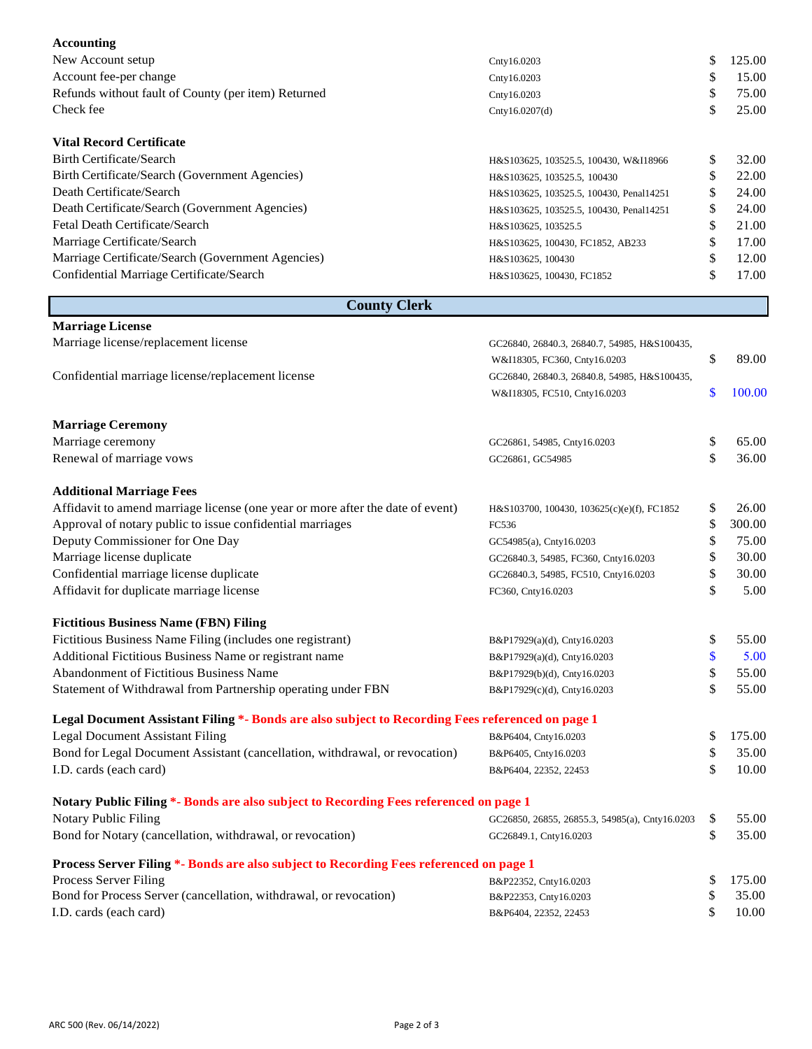| <b>Accounting</b>                                                                                |                                                |              |
|--------------------------------------------------------------------------------------------------|------------------------------------------------|--------------|
| New Account setup                                                                                | Cnty16.0203                                    | \$<br>125.00 |
| Account fee-per change                                                                           | Cnty16.0203                                    | \$<br>15.00  |
| Refunds without fault of County (per item) Returned                                              | Cnty16.0203                                    | \$<br>75.00  |
| Check fee                                                                                        | Cnty16.0207(d)                                 | \$<br>25.00  |
|                                                                                                  |                                                |              |
| <b>Vital Record Certificate</b>                                                                  |                                                |              |
| <b>Birth Certificate/Search</b>                                                                  | H&S103625, 103525.5, 100430, W&I18966          | \$<br>32.00  |
| Birth Certificate/Search (Government Agencies)                                                   | H&S103625, 103525.5, 100430                    | \$<br>22.00  |
| Death Certificate/Search                                                                         | H&S103625, 103525.5, 100430, Penal14251        | \$<br>24.00  |
| Death Certificate/Search (Government Agencies)                                                   | H&S103625, 103525.5, 100430, Penal14251        | \$<br>24.00  |
| Fetal Death Certificate/Search                                                                   | H&S103625, 103525.5                            | \$<br>21.00  |
| Marriage Certificate/Search                                                                      | H&S103625, 100430, FC1852, AB233               | \$<br>17.00  |
| Marriage Certificate/Search (Government Agencies)                                                | H&S103625, 100430                              | \$<br>12.00  |
| Confidential Marriage Certificate/Search                                                         | H&S103625, 100430, FC1852                      | \$<br>17.00  |
| <b>County Clerk</b>                                                                              |                                                |              |
| <b>Marriage License</b>                                                                          |                                                |              |
| Marriage license/replacement license                                                             | GC26840, 26840.3, 26840.7, 54985, H&S100435,   |              |
|                                                                                                  | W&I18305, FC360, Cnty16.0203                   | \$<br>89.00  |
| Confidential marriage license/replacement license                                                | GC26840, 26840.3, 26840.8, 54985, H&S100435,   |              |
|                                                                                                  | W&I18305, FC510, Cnty16.0203                   | \$<br>100.00 |
| <b>Marriage Ceremony</b>                                                                         |                                                |              |
| Marriage ceremony                                                                                | GC26861, 54985, Cnty16.0203                    | \$<br>65.00  |
| Renewal of marriage vows                                                                         | GC26861, GC54985                               | \$<br>36.00  |
|                                                                                                  |                                                |              |
| <b>Additional Marriage Fees</b>                                                                  |                                                |              |
| Affidavit to amend marriage license (one year or more after the date of event)                   | H&S103700, 100430, 103625(c)(e)(f), FC1852     | \$<br>26.00  |
| Approval of notary public to issue confidential marriages                                        | FC536                                          | \$<br>300.00 |
| Deputy Commissioner for One Day                                                                  | GC54985(a), Cnty16.0203                        | \$<br>75.00  |
| Marriage license duplicate                                                                       | GC26840.3, 54985, FC360, Cnty16.0203           | \$<br>30.00  |
| Confidential marriage license duplicate                                                          | GC26840.3, 54985, FC510, Cnty16.0203           | \$<br>30.00  |
| Affidavit for duplicate marriage license                                                         | FC360, Cnty16.0203                             | \$<br>5.00   |
| <b>Fictitious Business Name (FBN) Filing</b>                                                     |                                                |              |
| Fictitious Business Name Filing (includes one registrant)                                        | B&P17929(a)(d), Cnty16.0203                    | \$<br>55.00  |
| Additional Fictitious Business Name or registrant name                                           | B&P17929(a)(d), Cnty16.0203                    | \$<br>5.00   |
| Abandonment of Fictitious Business Name                                                          | B&P17929(b)(d), Cnty16.0203                    | \$<br>55.00  |
| Statement of Withdrawal from Partnership operating under FBN                                     | B&P17929(c)(d), Cnty16.0203                    | \$<br>55.00  |
| Legal Document Assistant Filing *- Bonds are also subject to Recording Fees referenced on page 1 |                                                |              |
| <b>Legal Document Assistant Filing</b>                                                           | B&P6404, Cnty16.0203                           | \$<br>175.00 |
| Bond for Legal Document Assistant (cancellation, withdrawal, or revocation)                      | B&P6405, Cnty16.0203                           | \$<br>35.00  |
| I.D. cards (each card)                                                                           | B&P6404, 22352, 22453                          | \$<br>10.00  |
| Notary Public Filing *- Bonds are also subject to Recording Fees referenced on page 1            |                                                |              |
| Notary Public Filing                                                                             | GC26850, 26855, 26855.3, 54985(a), Cnty16.0203 | \$<br>55.00  |
| Bond for Notary (cancellation, withdrawal, or revocation)                                        | GC26849.1, Cnty16.0203                         | \$<br>35.00  |
| Process Server Filing *- Bonds are also subject to Recording Fees referenced on page 1           |                                                |              |
| Process Server Filing                                                                            | B&P22352, Cnty16.0203                          | \$<br>175.00 |
| Bond for Process Server (cancellation, withdrawal, or revocation)                                | B&P22353, Cnty16.0203                          | \$<br>35.00  |
| I.D. cards (each card)                                                                           | B&P6404, 22352, 22453                          | \$<br>10.00  |
|                                                                                                  |                                                |              |